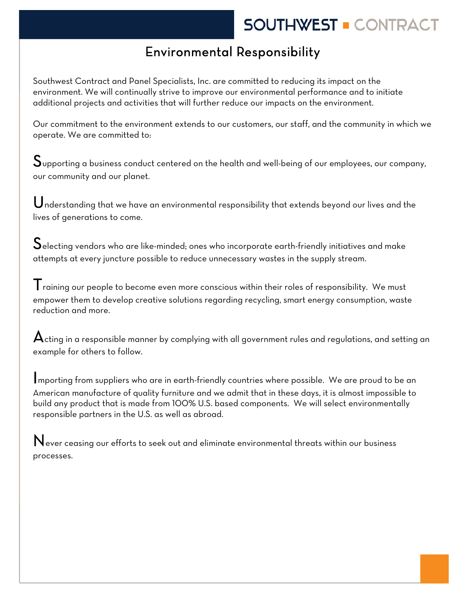# **SOUTHWEST . CONTRACT**

### Environmental Responsibility

 Southwest Contract and Panel Specialists, Inc. are committed to reducing its impact on the environment. We will continually strive to improve our environmental performance and to initiate additional projects and activities that will further reduce our impacts on the environment.

Our commitment to the environment extends to our customers, our staff, and the community in which we operate. We are committed to:

 $\mathbf S$ upporting a business conduct centered on the health and well-being of our employees, our company, our community and our planet.

Understanding that we have an environmental responsibility that extends beyond our lives and the lives of generations to come.

 ${\mathsf S}$ electing vendors who are like-minded; ones who incorporate earth-friendly initiatives and make attempts at every juncture possible to reduce unnecessary wastes in the supply stream.

 $\mathsf T$ raining our people to become even more conscious within their roles of responsibility. We must empower them to develop creative solutions regarding recycling, smart energy consumption, waste reduction and more.

 ${\mathbf A}$ cting in a responsible manner by complying with all government rules and regulations, and setting an example for others to follow.

Importing from suppliers who are in earth-friendly countries where possible. We are proud to be an American manufacture of quality furniture and we admit that in these days, it is almost impossible to build any product that is made from 100% U.S. based components. We will select environmentally responsible partners in the U.S. as well as abroad.

 $\mathbf N$ ever ceasing our efforts to seek out and eliminate environmental threats within our business processes.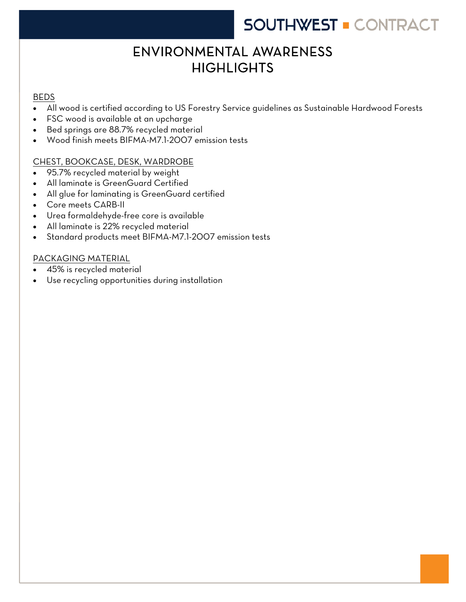## **SOUTHWEST . CONTRACT**

## ENVIRONMENTAL AWARENESS **HIGHLIGHTS**

# **BEDS**

- All wood is certified according to US Forestry Service guidelines as Sustainable Hardwood Forests
- FSC wood is available at an upcharge
- Bed springs are 88.7% recycled material
- Wood finish meets BIFMA-M7.1-2007 emission tests

### CHEST, BOOKCASE, DESK, WARDROBE

- 95.7% recycled material by weight
- All laminate is GreenGuard Certified
- All glue for laminating is GreenGuard certified
- Core meets CARB-II
- Urea formaldehyde-free core is available
- All laminate is 22% recycled material
- Standard products meet BIFMA-M7.1-2007 emission tests

### PACKAGING MATERIAL

- 45% is recycled material
- Use recycling opportunities during installation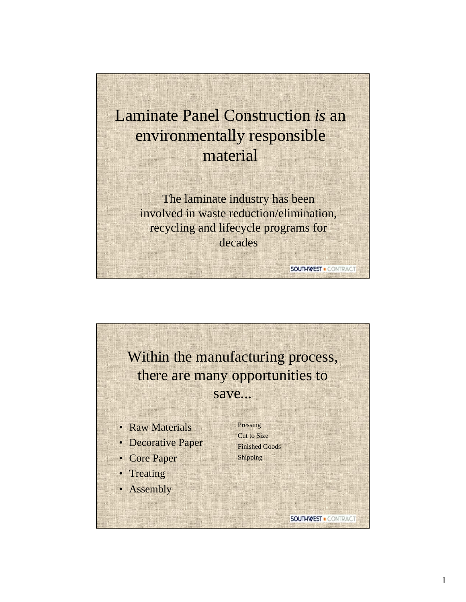

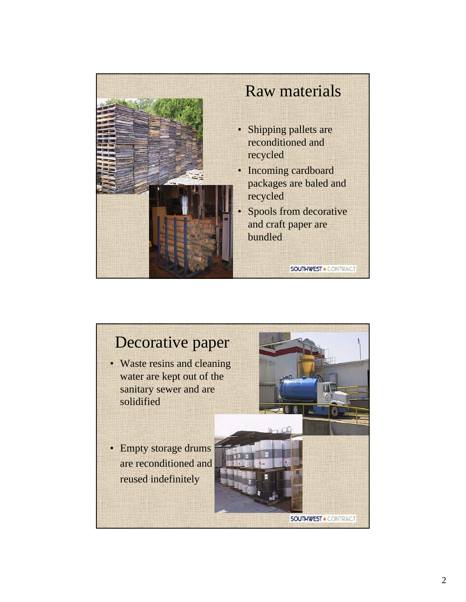

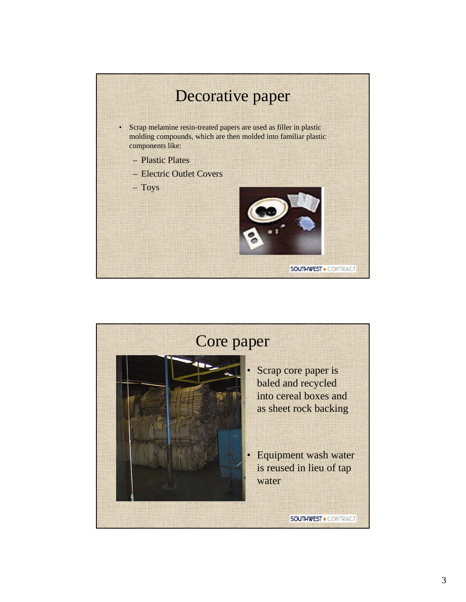

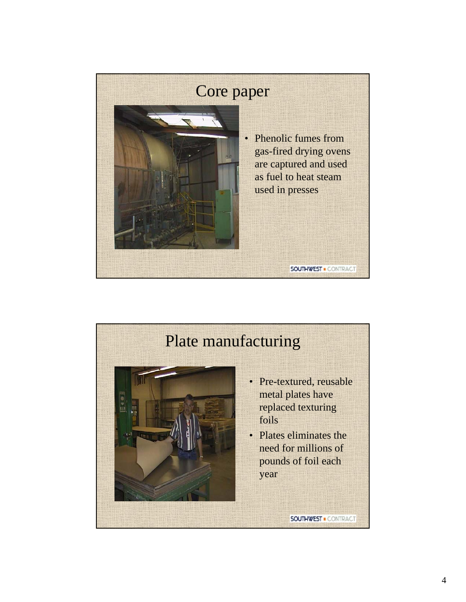

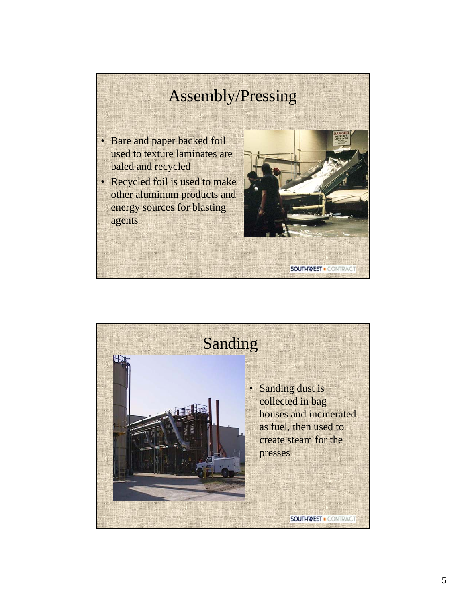# Assembly/Pressing

- Bare and paper backed foil used to texture laminates are baled and recycled
- Recycled foil is used to make other aluminum products and energy sources for blasting agents



Sanding Ë • Sanding dust is collected in bag houses and incinerated as fuel, then used to create steam for the presses**SOUTHWEST . CONTRACT**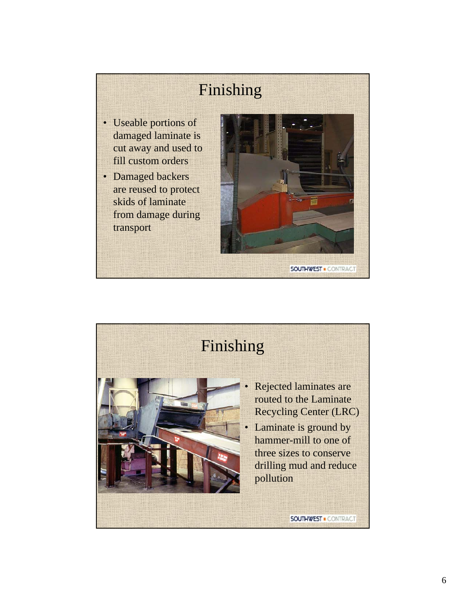# Finishing

- Useable portions of damaged laminate is cut away and used to fill custom orders
- Damaged backers are reused to protect skids of laminate from damage during transport



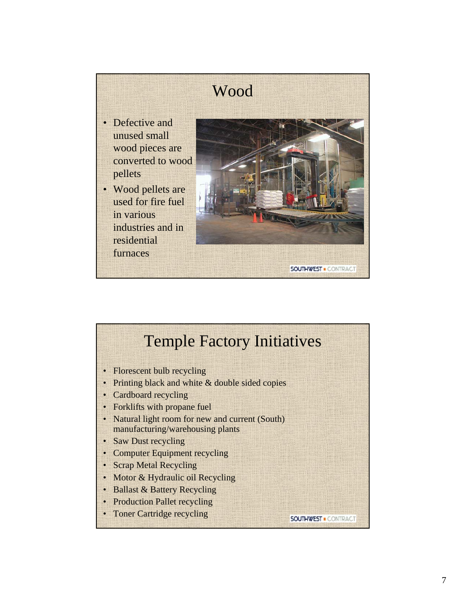

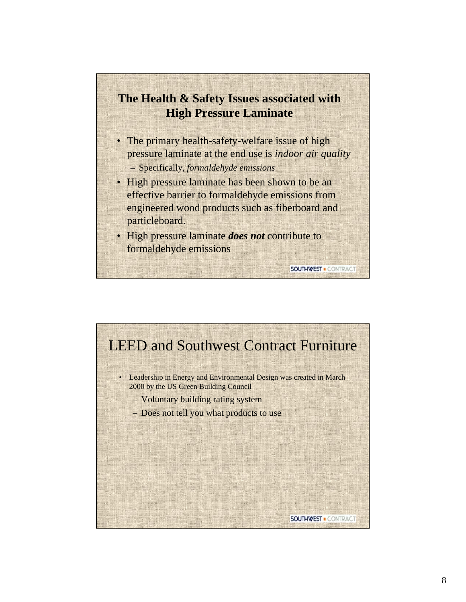### **The Health & Safety Issues associated with High Pressure Laminate**

- The primary health-safety-welfare issue of high pressure laminate at the end use is *indoor air quality* – Specifically, *formaldehyde emissions*
- High pressure laminate has been shown to be an effective barrier to formaldehyde emissions from engineered wood products such as fiberboard and particleboard.

**SOUTHWEST . CONTRACT** 

• High pressure laminate *does not* contribute to formaldehyde emissions

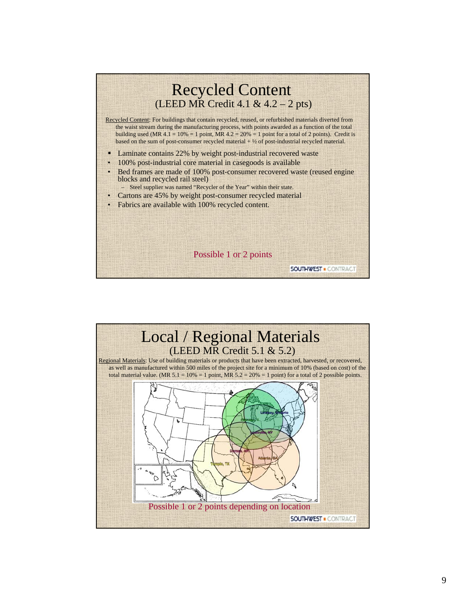

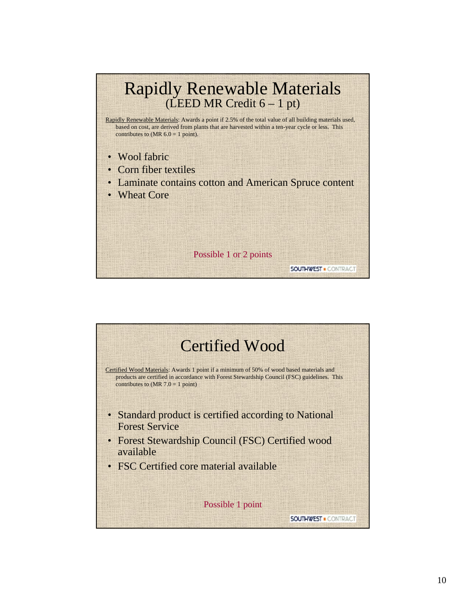

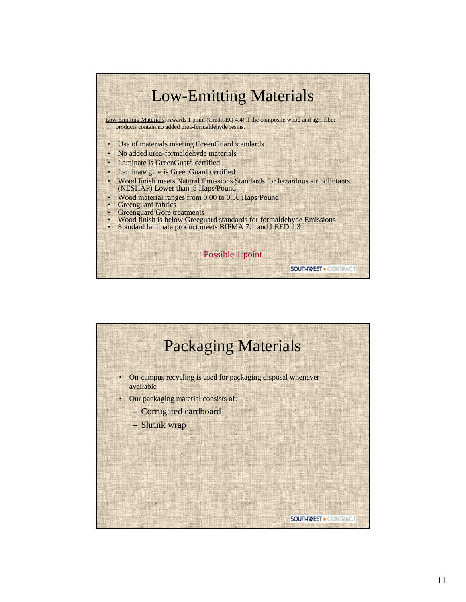

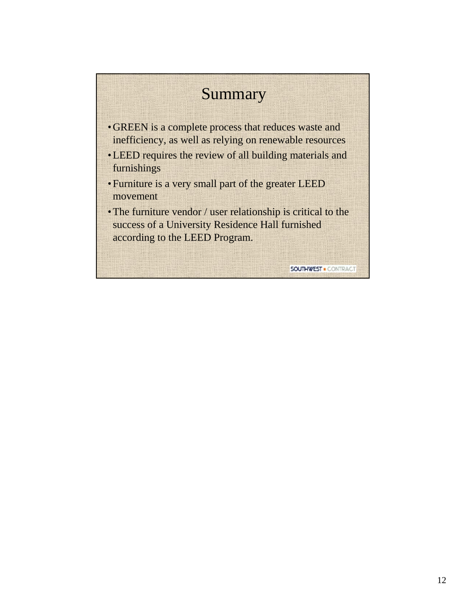